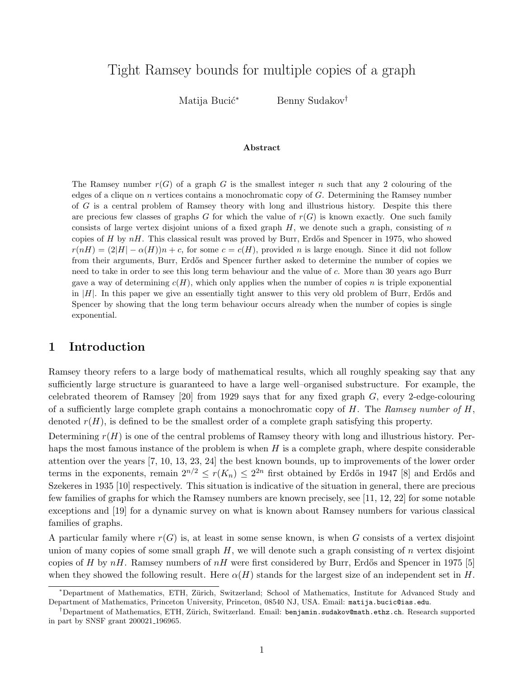# Tight Ramsey bounds for multiple copies of a graph

Matija Bucić<sup>∗</sup> Benny Sudakov<sup>†</sup>

#### Abstract

The Ramsey number  $r(G)$  of a graph G is the smallest integer n such that any 2 colouring of the edges of a clique on n vertices contains a monochromatic copy of G. Determining the Ramsey number of G is a central problem of Ramsey theory with long and illustrious history. Despite this there are precious few classes of graphs G for which the value of  $r(G)$  is known exactly. One such family consists of large vertex disjoint unions of a fixed graph  $H$ , we denote such a graph, consisting of  $n$ copies of H by  $nH$ . This classical result was proved by Burr, Erdős and Spencer in 1975, who showed  $r(nH) = (2|H| - \alpha(H))n + c$ , for some  $c = c(H)$ , provided n is large enough. Since it did not follow from their arguments, Burr, Erdős and Spencer further asked to determine the number of copies we need to take in order to see this long term behaviour and the value of c. More than 30 years ago Burr gave a way of determining  $c(H)$ , which only applies when the number of copies n is triple exponential in  $|H|$ . In this paper we give an essentially tight answer to this very old problem of Burr, Erdős and Spencer by showing that the long term behaviour occurs already when the number of copies is single exponential.

### 1 Introduction

Ramsey theory refers to a large body of mathematical results, which all roughly speaking say that any sufficiently large structure is guaranteed to have a large well–organised substructure. For example, the celebrated theorem of Ramsey [\[20\]](#page-17-0) from 1929 says that for any fixed graph  $G$ , every 2-edge-colouring of a sufficiently large complete graph contains a monochromatic copy of  $H$ . The Ramsey number of  $H$ , denoted  $r(H)$ , is defined to be the smallest order of a complete graph satisfying this property.

Determining  $r(H)$  is one of the central problems of Ramsey theory with long and illustrious history. Perhaps the most famous instance of the problem is when  $H$  is a complete graph, where despite considerable attention over the years [\[7,](#page-16-0) [10,](#page-16-1) [13,](#page-17-1) [23,](#page-17-2) [24\]](#page-17-3) the best known bounds, up to improvements of the lower order terms in the exponents, remain  $2^{n/2} \le r(K_n) \le 2^{2n}$  first obtained by Erdős in 1947 [\[8\]](#page-16-2) and Erdős and Szekeres in 1935 [\[10\]](#page-16-1) respectively. This situation is indicative of the situation in general, there are precious few families of graphs for which the Ramsey numbers are known precisely, see [\[11,](#page-17-4) [12,](#page-17-5) [22\]](#page-17-6) for some notable exceptions and [\[19\]](#page-17-7) for a dynamic survey on what is known about Ramsey numbers for various classical families of graphs.

A particular family where  $r(G)$  is, at least in some sense known, is when G consists of a vertex disjoint union of many copies of some small graph  $H$ , we will denote such a graph consisting of  $n$  vertex disjoint copies of H by  $nH$ . Ramsey numbers of  $nH$  were first considered by Burr, Erdős and Spencer in 1975 [\[5\]](#page-16-3) when they showed the following result. Here  $\alpha(H)$  stands for the largest size of an independent set in H.

<span id="page-0-0"></span><sup>∗</sup>Department of Mathematics, ETH, Z¨urich, Switzerland; School of Mathematics, Institute for Advanced Study and Department of Mathematics, Princeton University, Princeton, 08540 NJ, USA. Email: [matija.bucic@ias.edu](mailto:matija.bucic@ias.edu).

<sup>&</sup>lt;sup>†</sup>Department of Mathematics, ETH, Zürich, Switzerland. Email: [benjamin.sudakov@math.ethz.ch](mailto:benjamin.sudakov@math.ethz.ch). Research supported in part by SNSF grant 200021 196965.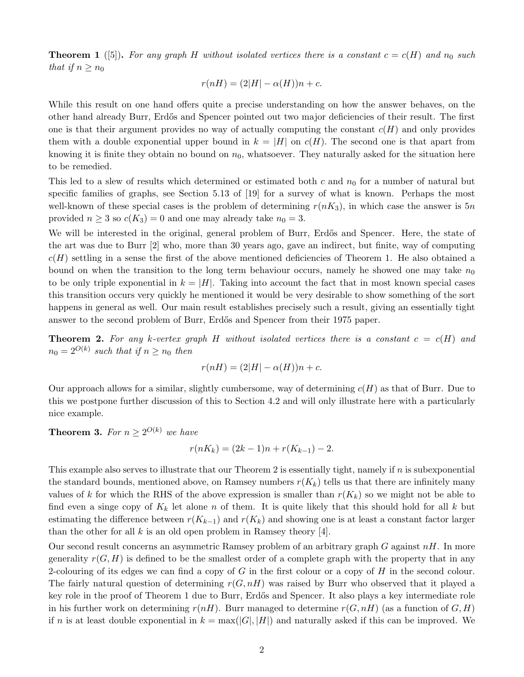**Theorem 1** ([\[5\]](#page-16-3)). For any graph H without isolated vertices there is a constant  $c = c(H)$  and  $n_0$  such that if  $n \geq n_0$ 

$$
r(nH) = (2|H| - \alpha(H))n + c.
$$

While this result on one hand offers quite a precise understanding on how the answer behaves, on the other hand already Burr, Erd˝os and Spencer pointed out two major deficiencies of their result. The first one is that their argument provides no way of actually computing the constant  $c(H)$  and only provides them with a double exponential upper bound in  $k = |H|$  on  $c(H)$ . The second one is that apart from knowing it is finite they obtain no bound on  $n_0$ , whatsoever. They naturally asked for the situation here to be remedied.

This led to a slew of results which determined or estimated both c and  $n_0$  for a number of natural but specific families of graphs, see Section 5.13 of [\[19\]](#page-17-7) for a survey of what is known. Perhaps the most well-known of these special cases is the problem of determining  $r(nK_3)$ , in which case the answer is 5n provided  $n \geq 3$  so  $c(K_3) = 0$  and one may already take  $n_0 = 3$ .

We will be interested in the original, general problem of Burr, Erdős and Spencer. Here, the state of the art was due to Burr [\[2\]](#page-16-4) who, more than 30 years ago, gave an indirect, but finite, way of computing  $c(H)$  settling in a sense the first of the above mentioned deficiencies of Theorem [1.](#page-0-0) He also obtained a bound on when the transition to the long term behaviour occurs, namely he showed one may take  $n_0$ to be only triple exponential in  $k = |H|$ . Taking into account the fact that in most known special cases this transition occurs very quickly he mentioned it would be very desirable to show something of the sort happens in general as well. Our main result establishes precisely such a result, giving an essentially tight answer to the second problem of Burr, Erd˝os and Spencer from their 1975 paper.

<span id="page-1-0"></span>**Theorem 2.** For any k-vertex graph H without isolated vertices there is a constant  $c = c(H)$  and  $n_0 = 2^{O(k)}$  such that if  $n \geq n_0$  then

$$
r(nH) = (2|H| - \alpha(H))n + c.
$$

Our approach allows for a similar, slightly cumbersome, way of determining  $c(H)$  as that of Burr. Due to this we postpone further discussion of this to Section [4.2](#page-7-0) and will only illustrate here with a particularly nice example.

<span id="page-1-1"></span>**Theorem 3.** For  $n \geq 2^{O(k)}$  we have

$$
r(nK_k) = (2k - 1)n + r(K_{k-1}) - 2.
$$

This example also serves to illustrate that our Theorem [2](#page-1-0) is essentially tight, namely if  $n$  is subexponential the standard bounds, mentioned above, on Ramsey numbers  $r(K_k)$  tells us that there are infinitely many values of k for which the RHS of the above expression is smaller than  $r(K_k)$  so we might not be able to find even a singe copy of  $K_k$  let alone n of them. It is quite likely that this should hold for all k but estimating the difference between  $r(K_{k-1})$  and  $r(K_k)$  and showing one is at least a constant factor larger than the other for all k is an old open problem in Ramsey theory [\[4\]](#page-16-5).

Our second result concerns an asymmetric Ramsey problem of an arbitrary graph  $G$  against  $nH$ . In more generality  $r(G, H)$  is defined to be the smallest order of a complete graph with the property that in any 2-colouring of its edges we can find a copy of  $G$  in the first colour or a copy of  $H$  in the second colour. The fairly natural question of determining  $r(G, nH)$  was raised by Burr who observed that it played a key role in the proof of Theorem [1](#page-0-0) due to Burr, Erdős and Spencer. It also plays a key intermediate role in his further work on determining  $r(nH)$ . Burr managed to determine  $r(G, nH)$  (as a function of  $G, H$ ) if n is at least double exponential in  $k = \max(|G|, |H|)$  and naturally asked if this can be improved. We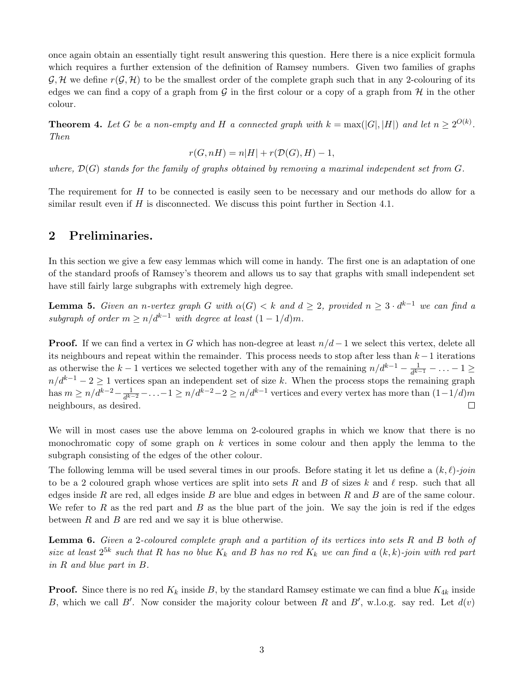once again obtain an essentially tight result answering this question. Here there is a nice explicit formula which requires a further extension of the definition of Ramsey numbers. Given two families of graphs  $\mathcal{G}, \mathcal{H}$  we define  $r(\mathcal{G}, \mathcal{H})$  to be the smallest order of the complete graph such that in any 2-colouring of its edges we can find a copy of a graph from  $\mathcal G$  in the first colour or a copy of a graph from  $\mathcal H$  in the other colour.

<span id="page-2-0"></span>**Theorem 4.** Let G be a non-empty and H a connected graph with  $k = max(|G|, |H|)$  and let  $n \ge 2^{O(k)}$ . Then

$$
r(G, nH) = n|H| + r(\mathcal{D}(G), H) - 1,
$$

where,  $\mathcal{D}(G)$  stands for the family of graphs obtained by removing a maximal independent set from  $G$ .

The requirement for  $H$  to be connected is easily seen to be necessary and our methods do allow for a similar result even if  $H$  is disconnected. We discuss this point further in Section [4.1.](#page-6-0)

### 2 Preliminaries.

In this section we give a few easy lemmas which will come in handy. The first one is an adaptation of one of the standard proofs of Ramsey's theorem and allows us to say that graphs with small independent set have still fairly large subgraphs with extremely high degree.

<span id="page-2-1"></span>**Lemma 5.** Given an n-vertex graph G with  $\alpha(G) < k$  and  $d \geq 2$ , provided  $n \geq 3 \cdot d^{k-1}$  we can find a subgraph of order  $m \ge n/d^{k-1}$  with degree at least  $(1 - 1/d)m$ .

**Proof.** If we can find a vertex in G which has non-degree at least  $n/d - 1$  we select this vertex, delete all its neighbours and repeat within the remainder. This process needs to stop after less than  $k-1$  iterations as otherwise the k – 1 vertices we selected together with any of the remaining  $n/d^{k-1} - \frac{1}{dk}$  $\frac{1}{d^{k-1}}-\ldots-1\geq$  $n/d^{k-1} - 2 \geq 1$  vertices span an independent set of size k. When the process stops the remaining graph has  $m \geq n/d^{k-2} - \frac{1}{d^{k-2}}$  $\frac{1}{d^{k-2}} - \ldots -1 \ge n/d^{k-2} - 2 \ge n/d^{k-1}$  vertices and every vertex has more than  $(1-1/d)m$ neighbours, as desired.  $\Box$ 

We will in most cases use the above lemma on 2-coloured graphs in which we know that there is no monochromatic copy of some graph on  $k$  vertices in some colour and then apply the lemma to the subgraph consisting of the edges of the other colour.

The following lemma will be used several times in our proofs. Before stating it let us define a  $(k, \ell)$ -join to be a 2 coloured graph whose vertices are split into sets R and B of sizes k and  $\ell$  resp. such that all edges inside R are red, all edges inside B are blue and edges in between R and B are of the same colour. We refer to R as the red part and B as the blue part of the join. We say the join is red if the edges between  $R$  and  $B$  are red and we say it is blue otherwise.

<span id="page-2-2"></span>Lemma 6. Given a 2-coloured complete graph and a partition of its vertices into sets R and B both of size at least  $2^{5k}$  such that R has no blue  $K_k$  and B has no red  $K_k$  we can find a  $(k, k)$ -join with red part in R and blue part in B.

**Proof.** Since there is no red  $K_k$  inside B, by the standard Ramsey estimate we can find a blue  $K_{4k}$  inside B, which we call B'. Now consider the majority colour between R and B', w.l.o.g. say red. Let  $d(v)$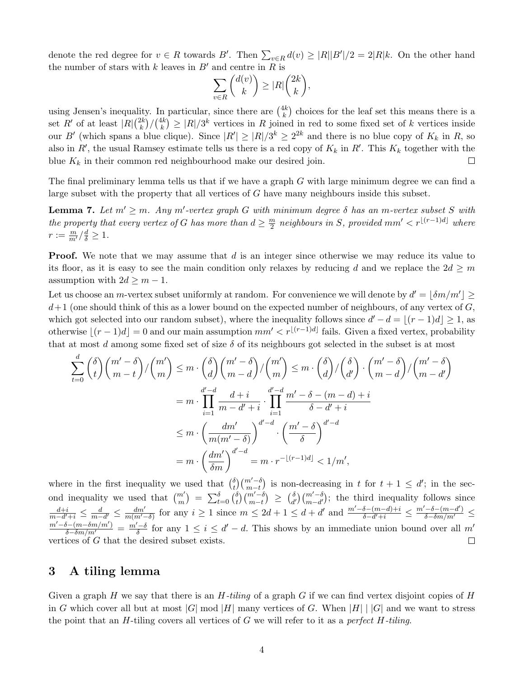denote the red degree for  $v \in R$  towards B'. Then  $\sum_{v \in R} d(v) \geq |R||B'|/2 = 2|R|k$ . On the other hand the number of stars with k leaves in  $B'$  and centre in R is

$$
\sum_{v \in R} \binom{d(v)}{k} \ge |R| \binom{2k}{k},
$$

using Jensen's inequality. In particular, since there are  $\binom{4k}{k}$  $\binom{1}{k}$  choices for the leaf set this means there is a set R' of at least  $|R| \binom{2k}{k}$  $\binom{2k}{k}/\binom{4k}{k}$  $\binom{4k}{k} \geq |R|/3^k$  vertices in R joined in red to some fixed set of k vertices inside our B' (which spans a blue clique). Since  $|R'| \ge |R|/3^k \ge 2^{2k}$  and there is no blue copy of  $K_k$  in R, so also in R', the usual Ramsey estimate tells us there is a red copy of  $K_k$  in R'. This  $K_k$  together with the blue  $K_k$  in their common red neighbourhood make our desired join.  $\Box$ 

The final preliminary lemma tells us that if we have a graph G with large minimum degree we can find a large subset with the property that all vertices of G have many neighbours inside this subset.

<span id="page-3-0"></span>**Lemma 7.** Let  $m' \ge m$ . Any m'-vertex graph G with minimum degree  $\delta$  has an m-vertex subset S with the property that every vertex of G has more than  $d \geq \frac{m}{2}$  $\frac{m}{2}$  neighbours in S, provided mm'  $\lt r^{\lfloor (r-1)d \rfloor}$  where  $r:=\frac{m}{m'}/\frac{d}{\delta}\geq 1.$ 

**Proof.** We note that we may assume that d is an integer since otherwise we may reduce its value to its floor, as it is easy to see the main condition only relaxes by reducing d and we replace the  $2d \geq m$ assumption with  $2d \geq m-1$ .

Let us choose an *m*-vertex subset uniformly at random. For convenience we will denote by  $d' = |\delta m/m'| \ge$  $d+1$  (one should think of this as a lower bound on the expected number of neighbours, of any vertex of  $G$ , which got selected into our random subset), where the inequality follows since  $d' - d = |(r - 1)d| \ge 1$ , as otherwise  $|(r - 1)d| = 0$  and our main assumption  $mm' < r^{\lfloor (r-1)d \rfloor}$  fails. Given a fixed vertex, probability that at most d among some fixed set of size  $\delta$  of its neighbours got selected in the subset is at most

$$
\sum_{t=0}^{d} {\delta \choose t} {m' - \delta \choose m - t} / {m' \choose m} \le m \cdot {\delta \choose d} {m' - \delta \choose m - d} / {m' \choose m} \le m \cdot {\delta \choose d} / {\delta \choose d'} \cdot {m' - \delta \choose m - d} / {m' - \delta \choose m - d'}
$$

$$
= m \cdot \prod_{i=1}^{d' - d} \frac{d + i}{m - d' + i} \cdot \prod_{i=1}^{d' - d} \frac{m' - \delta - (m - d) + i}{\delta - d' + i}
$$

$$
\le m \cdot \left(\frac{dm'}{m(m' - \delta)}\right)^{d' - d} \cdot \left(\frac{m' - \delta}{\delta}\right)^{d' - d}
$$

$$
= m \cdot \left(\frac{dm'}{\delta m}\right)^{d' - d} = m \cdot r^{-\lfloor (r-1)d \rfloor} < 1/m',
$$

 $\binom{d}{t}\binom{m'-\delta}{m-t}$  is non-decreasing in t for  $t+1 \leq d'$ ; in the secwhere in the first inequality we used that  $\binom{\delta}{t}$ ond inequality we used that  $\binom{m'}{m} = \sum_{t=0}^{\delta} \binom{\delta}{t}$  $\binom{\delta}{t}\binom{m'-\delta}{m-t}\ \geq\ \binom{\delta}{d}$  $\binom{\delta}{d'}\binom{m'-\delta}{m-d'}$ ; the third inequality follows since  $\frac{dm'}{m(m'-\delta)}$  for any  $i \geq 1$  since  $m \leq 2d+1 \leq d+d'$  and  $\frac{m'-\delta-(m-d)+i}{\delta-d'+i} \leq \frac{m'-\delta-(m-d')}{\delta-\delta m/m'} \leq$  $\frac{d+i}{m-d'+i} \leq \frac{d}{m-d'} \leq \frac{dm'}{m(m'-i')}$  $\frac{m'-\delta-(m-\delta m/m')}{\delta-\delta m/m'}=\frac{m'-\delta}{\delta}$  $\frac{d-1}{\delta}$  for any  $1 \leq i \leq d'-d$ . This shows by an immediate union bound over all m' vertices of G that the desired subset exists.  $\Box$ 

### 3 A tiling lemma

Given a graph H we say that there is an  $H$ -tiling of a graph G if we can find vertex disjoint copies of H in G which cover all but at most  $|G|$  mod  $|H|$  many vertices of G. When  $|H|$   $||G|$  and we want to stress the point that an  $H$ -tiling covers all vertices of  $G$  we will refer to it as a *perfect*  $H$ -tiling.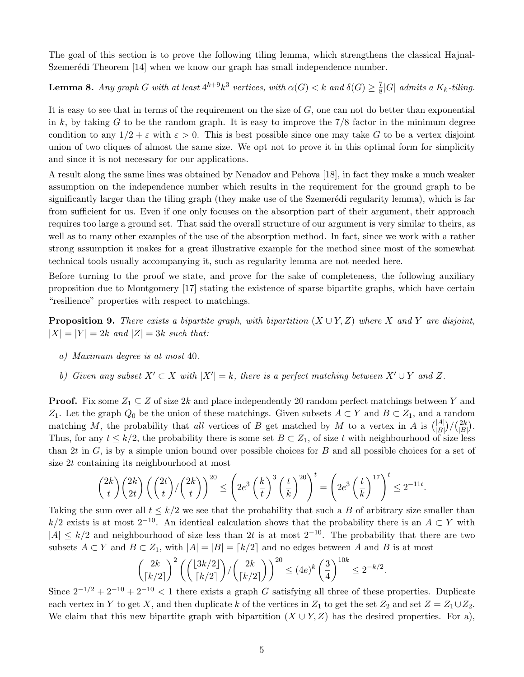The goal of this section is to prove the following tiling lemma, which strengthens the classical Hajnal-Szemerédi Theorem  $[14]$  when we know our graph has small independence number.

<span id="page-4-2"></span>**Lemma 8.** Any graph G with at least  $4^{k+9}k^3$  vertices, with  $\alpha(G) < k$  and  $\delta(G) \geq \frac{7}{8}$  $\frac{7}{8}$ |G| admits a K<sub>k</sub>-tiling.

It is easy to see that in terms of the requirement on the size of  $G$ , one can not do better than exponential in k, by taking G to be the random graph. It is easy to improve the  $7/8$  factor in the minimum degree condition to any  $1/2 + \varepsilon$  with  $\varepsilon > 0$ . This is best possible since one may take G to be a vertex disjoint union of two cliques of almost the same size. We opt not to prove it in this optimal form for simplicity and since it is not necessary for our applications.

A result along the same lines was obtained by Nenadov and Pehova [\[18\]](#page-17-9), in fact they make a much weaker assumption on the independence number which results in the requirement for the ground graph to be significantly larger than the tiling graph (they make use of the Szemerédi regularity lemma), which is far from sufficient for us. Even if one only focuses on the absorption part of their argument, their approach requires too large a ground set. That said the overall structure of our argument is very similar to theirs, as well as to many other examples of the use of the absorption method. In fact, since we work with a rather strong assumption it makes for a great illustrative example for the method since most of the somewhat technical tools usually accompanying it, such as regularity lemma are not needed here.

Before turning to the proof we state, and prove for the sake of completeness, the following auxiliary proposition due to Montgomery [\[17\]](#page-17-10) stating the existence of sparse bipartite graphs, which have certain "resilience" properties with respect to matchings.

<span id="page-4-3"></span>**Proposition 9.** There exists a bipartite graph, with bipartition  $(X \cup Y, Z)$  where X and Y are disjoint,  $|X| = |Y| = 2k$  and  $|Z| = 3k$  such that:

- <span id="page-4-0"></span>a) Maximum degree is at most 40.
- <span id="page-4-1"></span>b) Given any subset  $X' \subset X$  with  $|X'| = k$ , there is a perfect matching between  $X' \cup Y$  and Z.

**Proof.** Fix some  $Z_1 \subseteq Z$  of size 2k and place independently 20 random perfect matchings between Y and Z<sub>1</sub>. Let the graph  $Q_0$  be the union of these matchings. Given subsets  $A \subset Y$  and  $B \subset Z_1$ , and a random matching M, the probability that all vertices of B get matched by M to a vertex in A is  $\binom{|A|}{|B|}/\binom{2k}{|B|}$  $\binom{2k}{|B|}$ . Thus, for any  $t \leq k/2$ , the probability there is some set  $B \subset Z_1$ , of size t with neighbourhood of size less than 2t in  $G$ , is by a simple union bound over possible choices for B and all possible choices for a set of size 2t containing its neighbourhood at most

$$
\binom{2k}{t}\binom{2k}{2t}\left(\binom{2t}{t}/\binom{2k}{t}\right)^{20} \leq \left(2e^3\left(\frac{k}{t}\right)^3\left(\frac{t}{k}\right)^{20}\right)^t = \left(2e^3\left(\frac{t}{k}\right)^{17}\right)^t \leq 2^{-11t}.
$$

Taking the sum over all  $t \leq k/2$  we see that the probability that such a B of arbitrary size smaller than k/2 exists is at most  $2^{-10}$ . An identical calculation shows that the probability there is an  $A \subset Y$  with  $|A| \leq k/2$  and neighbourhood of size less than 2t is at most  $2^{-10}$ . The probability that there are two subsets  $A \subset Y$  and  $B \subset Z_1$ , with  $|A| = |B| = \lceil k/2 \rceil$  and no edges between A and B is at most

$$
\binom{2k}{\lceil k/2 \rceil}^2 \left( \binom{\lfloor 3k/2 \rfloor}{\lceil k/2 \rceil} / \binom{2k}{\lceil k/2 \rceil} \right)^{20} \le (4e)^k \left( \frac{3}{4} \right)^{10k} \le 2^{-k/2}.
$$

Since  $2^{-1/2} + 2^{-10} + 2^{-10} < 1$  there exists a graph G satisfying all three of these properties. Duplicate each vertex in Y to get X, and then duplicate k of the vertices in  $Z_1$  to get the set  $Z_2$  and set  $Z = Z_1 \cup Z_2$ . We claim that this new bipartite graph with bipartition  $(X \cup Y, Z)$  has the desired properties. For [a\),](#page-4-0)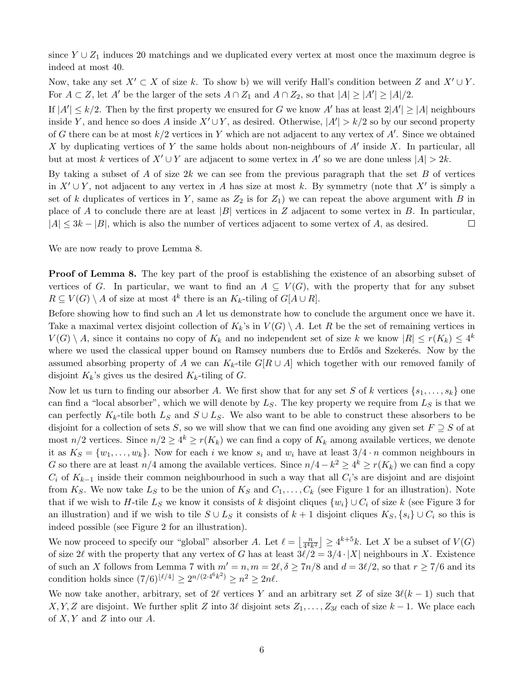since  $Y \cup Z_1$  induces 20 matchings and we duplicated every vertex at most once the maximum degree is indeed at most 40.

Now, take any set  $X' \subset X$  of size k. To show [b\)](#page-4-1) we will verify Hall's condition between Z and  $X' \cup Y$ . For  $A \subset Z$ , let  $A'$  be the larger of the sets  $A \cap Z_1$  and  $A \cap Z_2$ , so that  $|A| \geq |A'| \geq |A|/2$ .

If  $|A'| \le k/2$ . Then by the first property we ensured for G we know A' has at least  $2|A'| \ge |A|$  neighbours inside Y, and hence so does A inside  $X' \cup Y$ , as desired. Otherwise,  $|A'| > k/2$  so by our second property of G there can be at most  $k/2$  vertices in Y which are not adjacent to any vertex of A'. Since we obtained X by duplicating vertices of Y the same holds about non-neighbours of  $A'$  inside X. In particular, all but at most k vertices of  $X' \cup Y$  are adjacent to some vertex in A' so we are done unless  $|A| > 2k$ .

By taking a subset of A of size  $2k$  we can see from the previous paragraph that the set B of vertices in  $X' \cup Y$ , not adjacent to any vertex in A has size at most k. By symmetry (note that X' is simply a set of k duplicates of vertices in Y, same as  $Z_2$  is for  $Z_1$ ) we can repeat the above argument with B in place of A to conclude there are at least  $|B|$  vertices in Z adjacent to some vertex in B. In particular,  $|A| \leq 3k - |B|$ , which is also the number of vertices adjacent to some vertex of A, as desired.  $\Box$ 

We are now ready to prove Lemma [8.](#page-4-2)

Proof of Lemma [8.](#page-4-2) The key part of the proof is establishing the existence of an absorbing subset of vertices of G. In particular, we want to find an  $A \subseteq V(G)$ , with the property that for any subset  $R \subseteq V(G) \setminus A$  of size at most  $4^k$  there is an  $K_k$ -tiling of  $G[A \cup R]$ .

Before showing how to find such an A let us demonstrate how to conclude the argument once we have it. Take a maximal vertex disjoint collection of  $K_k$ 's in  $V(G) \setminus A$ . Let R be the set of remaining vertices in  $V(G) \setminus A$ , since it contains no copy of  $K_k$  and no independent set of size k we know  $|R| \le r(K_k) \le 4^k$ where we used the classical upper bound on Ramsey numbers due to Erdős and Szekerés. Now by the assumed absorbing property of A we can K<sub>k</sub>-tile G[R ∪ A] which together with our removed family of disjoint  $K_k$ 's gives us the desired  $K_k$ -tiling of G.

Now let us turn to finding our absorber A. We first show that for any set S of k vertices  $\{s_1, \ldots, s_k\}$  one can find a "local absorber", which we will denote by  $L<sub>S</sub>$ . The key property we require from  $L<sub>S</sub>$  is that we can perfectly  $K_k$ -tile both  $L_S$  and  $S \cup L_S$ . We also want to be able to construct these absorbers to be disjoint for a collection of sets S, so we will show that we can find one avoiding any given set  $F \supseteq S$  of at most  $n/2$  vertices. Since  $n/2 \geq 4^k \geq r(K_k)$  we can find a copy of  $K_k$  among available vertices, we denote it as  $K_S = \{w_1, \ldots, w_k\}$ . Now for each i we know  $s_i$  and  $w_i$  have at least  $3/4 \cdot n$  common neighbours in G so there are at least  $n/4$  among the available vertices. Since  $n/4 - k^2 \ge 4^k \ge r(K_k)$  we can find a copy  $C_i$  of  $K_{k-1}$  inside their common neighbourhood in such a way that all  $C_i$ 's are disjoint and are disjoint from  $K_S$ . We now take  $L_S$  to be the union of  $K_S$  and  $C_1, \ldots, C_k$  (see Figure [1](#page-6-1) for an illustration). Note that if we wish to H-tile  $L_S$  we know it consists of k disjoint cliques  $\{w_i\} \cup C_i$  of size k (see Figure [3](#page-6-1) for an illustration) and if we wish to tile  $S \cup L_S$  it consists of  $k + 1$  disjoint cliques  $K_S, \{s_i\} \cup C_i$  so this is indeed possible (see Figure [2](#page-6-1) for an illustration).

We now proceed to specify our "global" absorber A. Let  $\ell = \frac{n}{\sqrt{4n}}$  $\left\lfloor \frac{n}{4^4k^2} \right\rfloor \ge 4^{k+5}k$ . Let X be a subset of  $V(G)$ of size 2 $\ell$  with the property that any vertex of G has at least  $3\ell/2 = 3/4 \cdot |X|$  neighbours in X. Existence of such an X follows from Lemma [7](#page-3-0) with  $m' = n, m = 2\ell, \delta \geq 7n/8$  and  $d = 3\ell/2$ , so that  $r \geq 7/6$  and its condition holds since  $(7/6)^{\lfloor \ell/4 \rfloor} \ge 2^{n/(2 \cdot 4^6 k^2)} \ge n^2 \ge 2n\ell$ .

We now take another, arbitrary, set of 2 $\ell$  vertices Y and an arbitrary set Z of size  $3\ell(k - 1)$  such that X, Y, Z are disjoint. We further split Z into 3 $\ell$  disjoint sets  $Z_1, \ldots, Z_{3\ell}$  each of size  $k - 1$ . We place each of  $X, Y$  and  $Z$  into our  $A$ .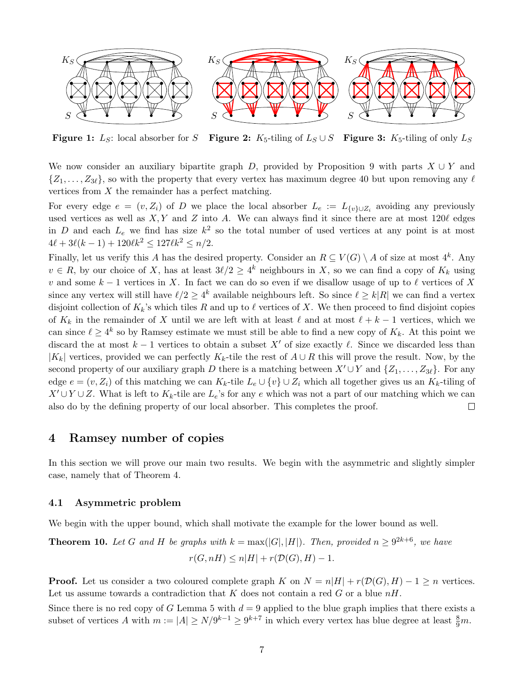<span id="page-6-1"></span>

**Figure 1:**  $L_S$ : local absorber for S **Figure 2:**  $K_5$ -tiling of  $L_S \cup S$  **Figure 3:**  $K_5$ -tiling of only  $L_S$ 

We now consider an auxiliary bipartite graph D, provided by Proposition [9](#page-4-3) with parts  $X \cup Y$  and  $\{Z_1, \ldots, Z_{3\ell}\}\,$ , so with the property that every vertex has maximum degree 40 but upon removing any  $\ell$ vertices from  $X$  the remainder has a perfect matching.

For every edge  $e = (v, Z_i)$  of D we place the local absorber  $L_e := L_{\{v\} \cup Z_i}$  avoiding any previously used vertices as well as  $X, Y$  and Z into A. We can always find it since there are at most 120 $\ell$  edges in D and each  $L_e$  we find has size  $k^2$  so the total number of used vertices at any point is at most  $4\ell + 3\ell(k - 1) + 120\ell k^2 \le 127\ell k^2 \le n/2.$ 

Finally, let us verify this A has the desired property. Consider an  $R \subseteq V(G) \setminus A$  of size at most  $4^k$ . Any  $v \in R$ , by our choice of X, has at least  $3\ell/2 \geq 4^k$  neighbours in X, so we can find a copy of  $K_k$  using v and some  $k - 1$  vertices in X. In fact we can do so even if we disallow usage of up to  $\ell$  vertices of X since any vertex will still have  $\ell/2 \geq 4^k$  available neighbours left. So since  $\ell \geq k|R|$  we can find a vertex disjoint collection of  $K_k$ 's which tiles R and up to  $\ell$  vertices of X. We then proceed to find disjoint copies of  $K_k$  in the remainder of X until we are left with at least  $\ell$  and at most  $\ell + k - 1$  vertices, which we can since  $\ell \geq 4^k$  so by Ramsey estimate we must still be able to find a new copy of  $K_k$ . At this point we discard the at most  $k - 1$  vertices to obtain a subset X' of size exactly  $\ell$ . Since we discarded less than  $|K_k|$  vertices, provided we can perfectly  $K_k$ -tile the rest of  $A \cup R$  this will prove the result. Now, by the second property of our auxiliary graph D there is a matching between  $X' \cup Y$  and  $\{Z_1, \ldots, Z_{3\ell}\}.$  For any edge  $e = (v, Z_i)$  of this matching we can  $K_k$ -tile  $L_e \cup \{v\} \cup Z_i$  which all together gives us an  $K_k$ -tiling of  $X' \cup Y \cup Z$ . What is left to  $K_k$ -tile are  $L_e$ 's for any e which was not a part of our matching which we can also do by the defining property of our local absorber. This completes the proof.  $\Box$ 

### 4 Ramsey number of copies

In this section we will prove our main two results. We begin with the asymmetric and slightly simpler case, namely that of Theorem [4.](#page-2-0)

#### <span id="page-6-0"></span>4.1 Asymmetric problem

<span id="page-6-2"></span>We begin with the upper bound, which shall motivate the example for the lower bound as well.

**Theorem 10.** Let G and H be graphs with 
$$
k = max(|G|, |H|)
$$
. Then, provided  $n \ge 9^{2k+6}$ , we have  $r(G, nH) \le n|H| + r(\mathcal{D}(G), H) - 1$ .

**Proof.** Let us consider a two coloured complete graph K on  $N = n|H| + r(\mathcal{D}(G), H) - 1 \geq n$  vertices. Let us assume towards a contradiction that K does not contain a red G or a blue  $nH$ .

Since there is no red copy of G Lemma [5](#page-2-1) with  $d = 9$  applied to the blue graph implies that there exists a subset of vertices A with  $m := |A| \ge N/9^{k-1} \ge 9^{k+7}$  in which every vertex has blue degree at least  $\frac{8}{9}m$ .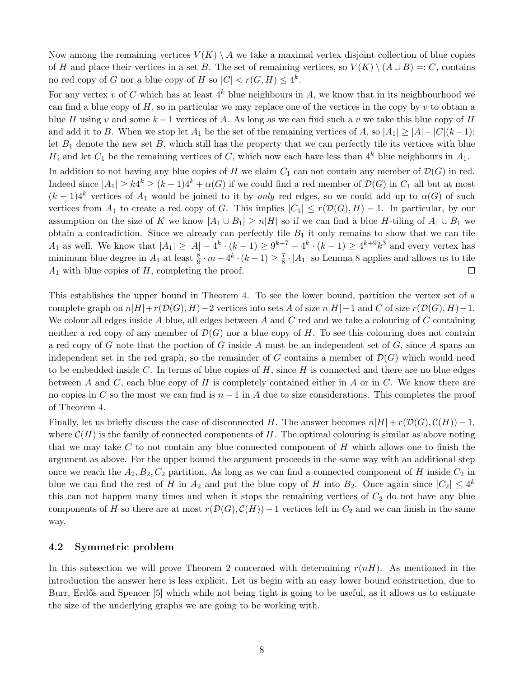Now among the remaining vertices  $V(K) \setminus A$  we take a maximal vertex disjoint collection of blue copies of H and place their vertices in a set B. The set of remaining vertices, so  $V(K) \setminus (A \cup B) =: C$ , contains no red copy of G nor a blue copy of H so  $|C| < r(G, H) \leq 4^k$ .

For any vertex v of C which has at least  $4^k$  blue neighbours in A, we know that in its neighbourhood we can find a blue copy of  $H$ , so in particular we may replace one of the vertices in the copy by  $v$  to obtain a blue H using v and some  $k-1$  vertices of A. As long as we can find such a v we take this blue copy of H and add it to B. When we stop let  $A_1$  be the set of the remaining vertices of A, so  $|A_1| \geq |A| - |C|(k-1);$ let  $B_1$  denote the new set  $B$ , which still has the property that we can perfectly tile its vertices with blue H; and let  $C_1$  be the remaining vertices of C, which now each have less than  $4^k$  blue neighbours in  $A_1$ .

In addition to not having any blue copies of H we claim  $C_1$  can not contain any member of  $\mathcal{D}(G)$  in red. Indeed since  $|A_1| \ge k4^k \ge (k-1)4^k + \alpha(G)$  if we could find a red member of  $\mathcal{D}(G)$  in  $C_1$  all but at most  $(k-1)4^k$  vertices of  $A_1$  would be joined to it by only red edges, so we could add up to  $\alpha(G)$  of such vertices from  $A_1$  to create a red copy of G. This implies  $|C_1| \le r(\mathcal{D}(G), H) - 1$ . In particular, by our assumption on the size of K we know  $|A_1 \cup B_1| \ge n|H|$  so if we can find a blue H-tiling of  $A_1 \cup B_1$  we obtain a contradiction. Since we already can perfectly tile  $B_1$  it only remains to show that we can tile  $A_1$  as well. We know that  $|A_1| \ge |A| - 4^k \cdot (k-1) \ge 9^{k+7} - 4^k \cdot (k-1) \ge 4^{k+9} k^3$  and every vertex has minimum blue degree in  $A_1$  at least  $\frac{8}{9} \cdot m - 4^k \cdot (k-1) \ge \frac{7}{8}$  $\frac{7}{8} \cdot |A_1|$  so Lemma [8](#page-4-2) applies and allows us to tile  $A_1$  with blue copies of  $H$ , completing the proof.  $\Box$ 

This establishes the upper bound in Theorem [4.](#page-2-0) To see the lower bound, partition the vertex set of a complete graph on  $n|H|+r(\mathcal{D}(G), H)-2$  vertices into sets A of size  $n|H|-1$  and C of size  $r(\mathcal{D}(G), H)-1$ . We colour all edges inside A blue, all edges between A and C red and we take a colouring of C containing neither a red copy of any member of  $\mathcal{D}(G)$  nor a blue copy of H. To see this colouring does not contain a red copy of G note that the portion of G inside A must be an independent set of G, since A spans an independent set in the red graph, so the remainder of G contains a member of  $\mathcal{D}(G)$  which would need to be embedded inside C. In terms of blue copies of  $H$ , since  $H$  is connected and there are no blue edges between A and C, each blue copy of H is completely contained either in A or in C. We know there are no copies in C so the most we can find is  $n-1$  in A due to size considerations. This completes the proof of Theorem [4.](#page-2-0)

Finally, let us briefly discuss the case of disconnected H. The answer becomes  $n|H| + r(\mathcal{D}(G), \mathcal{C}(H)) - 1$ , where  $\mathcal{C}(H)$  is the family of connected components of H. The optimal colouring is similar as above noting that we may take  $C$  to not contain any blue connected component of  $H$  which allows one to finish the argument as above. For the upper bound the argument proceeds in the same way with an additional step once we reach the  $A_2, B_2, C_2$  partition. As long as we can find a connected component of H inside  $C_2$  in blue we can find the rest of H in  $A_2$  and put the blue copy of H into  $B_2$ . Once again since  $|C_2| \leq 4^k$ this can not happen many times and when it stops the remaining vertices of  $C_2$  do not have any blue components of H so there are at most  $r(\mathcal{D}(G), \mathcal{C}(H)) - 1$  vertices left in  $C_2$  and we can finish in the same way.

#### <span id="page-7-0"></span>4.2 Symmetric problem

<span id="page-7-1"></span>In this subsection we will prove Theorem [2](#page-1-0) concerned with determining  $r(nH)$ . As mentioned in the introduction the answer here is less explicit. Let us begin with an easy lower bound construction, due to Burr, Erdős and Spencer [\[5\]](#page-16-3) which while not being tight is going to be useful, as it allows us to estimate the size of the underlying graphs we are going to be working with.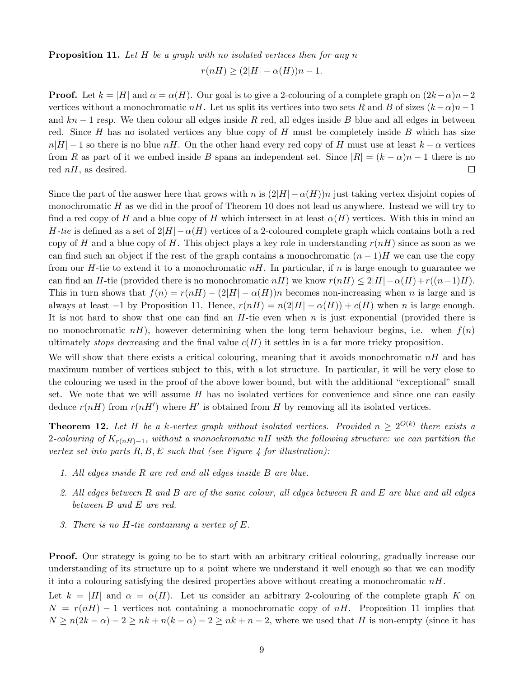**Proposition 11.** Let  $H$  be a graph with no isolated vertices then for any n

$$
r(nH) \ge (2|H| - \alpha(H))n - 1.
$$

**Proof.** Let  $k = |H|$  and  $\alpha = \alpha(H)$ . Our goal is to give a 2-colouring of a complete graph on  $(2k-\alpha)n-2$ vertices without a monochromatic nH. Let us split its vertices into two sets R and B of sizes  $(k-\alpha)n-1$ and  $kn-1$  resp. We then colour all edges inside R red, all edges inside B blue and all edges in between red. Since H has no isolated vertices any blue copy of H must be completely inside B which has size  $n|H| - 1$  so there is no blue  $nH$ . On the other hand every red copy of H must use at least  $k - \alpha$  vertices from R as part of it we embed inside B spans an independent set. Since  $|R| = (k - \alpha)n - 1$  there is no red  $nH$ , as desired.  $\Box$ 

Since the part of the answer here that grows with n is  $(2|H| - \alpha(H))n$  just taking vertex disjoint copies of monochromatic  $H$  as we did in the proof of Theorem [10](#page-6-2) does not lead us anywhere. Instead we will try to find a red copy of H and a blue copy of H which intersect in at least  $\alpha(H)$  vertices. With this in mind an H-tie is defined as a set of  $2|H| - \alpha(H)$  vertices of a 2-coloured complete graph which contains both a red copy of H and a blue copy of H. This object plays a key role in understanding  $r(nH)$  since as soon as we can find such an object if the rest of the graph contains a monochromatic  $(n-1)H$  we can use the copy from our H-tie to extend it to a monochromatic  $nH$ . In particular, if n is large enough to guarantee we can find an H-tie (provided there is no monochromatic nH) we know  $r(nH) \leq 2|H|-\alpha(H)+r((n-1)H)$ . This in turn shows that  $f(n) = r(nH) - (2|H| - \alpha(H))n$  becomes non-increasing when n is large and is always at least  $-1$  by Proposition [11.](#page-7-1) Hence,  $r(nH) = n(2|H| - \alpha(H)) + c(H)$  when n is large enough. It is not hard to show that one can find an  $H$ -tie even when n is just exponential (provided there is no monochromatic  $nH$ ), however determining when the long term behaviour begins, i.e. when  $f(n)$ ultimately *stops* decreasing and the final value  $c(H)$  it settles in is a far more tricky proposition.

We will show that there exists a critical colouring, meaning that it avoids monochromatic  $nH$  and has maximum number of vertices subject to this, with a lot structure. In particular, it will be very close to the colouring we used in the proof of the above lower bound, but with the additional "exceptional" small set. We note that we will assume  $H$  has no isolated vertices for convenience and since one can easily deduce  $r(nH)$  from  $r(nH')$  where H' is obtained from H by removing all its isolated vertices.

<span id="page-8-1"></span>**Theorem 12.** Let H be a k-vertex graph without isolated vertices. Provided  $n \geq 2^{O(k)}$  there exists a  $\alpha$ 2-colouring of  $K_{r(nH)-1}$ , without a monochromatic nH with the following structure: we can partition the vertex set into parts  $R, B, E$  such that (see Figure [4](#page-9-0) for illustration):

- 1. All edges inside R are red and all edges inside B are blue.
- 2. All edges between  $R$  and  $B$  are of the same colour, all edges between  $R$  and  $E$  are blue and all edges between B and E are red.
- <span id="page-8-0"></span>3. There is no H-tie containing a vertex of E.

Proof. Our strategy is going to be to start with an arbitrary critical colouring, gradually increase our understanding of its structure up to a point where we understand it well enough so that we can modify it into a colouring satisfying the desired properties above without creating a monochromatic  $nH$ .

Let  $k = |H|$  and  $\alpha = \alpha(H)$ . Let us consider an arbitrary 2-colouring of the complete graph K on  $N = r(nH) - 1$  vertices not containing a monochromatic copy of nH. Proposition [11](#page-7-1) implies that  $N \ge n(2k - \alpha) - 2 \ge nk + n(k - \alpha) - 2 \ge nk + n - 2$ , where we used that H is non-empty (since it has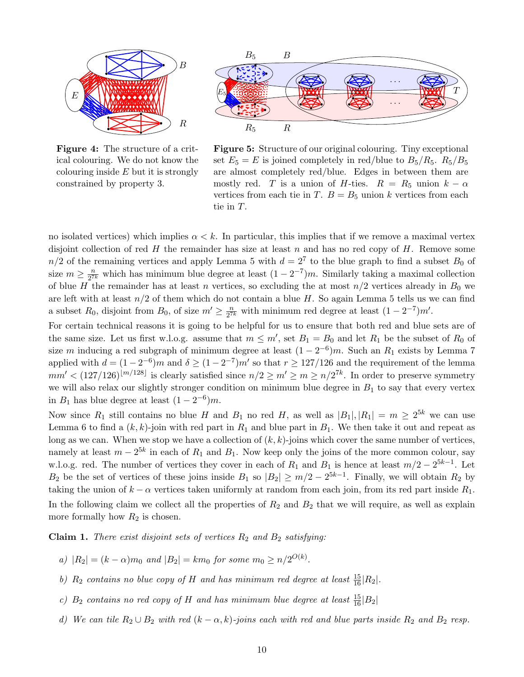<span id="page-9-0"></span>

Figure 4: The structure of a critical colouring. We do not know the colouring inside  $E$  but it is strongly constrained by property [3.](#page-8-0)



Figure 5: Structure of our original colouring. Tiny exceptional set  $E_5 = E$  is joined completely in red/blue to  $B_5/R_5$ .  $R_5/B_5$ are almost completely red/blue. Edges in between them are mostly red. T is a union of H-ties.  $R = R_5$  union  $k - \alpha$ vertices from each tie in T.  $B = B_5$  union k vertices from each tie in T.

no isolated vertices) which implies  $\alpha < k$ . In particular, this implies that if we remove a maximal vertex disjoint collection of red  $H$  the remainder has size at least  $n$  and has no red copy of  $H$ . Remove some  $n/2$  of the remaining vertices and apply Lemma [5](#page-2-1) with  $d = 2<sup>7</sup>$  to the blue graph to find a subset  $B_0$  of size  $m \geq \frac{n}{27}$  $\frac{n}{2^{7k}}$  which has minimum blue degree at least  $(1-2^{-7})m$ . Similarly taking a maximal collection of blue H the remainder has at least n vertices, so excluding the at most  $n/2$  vertices already in  $B_0$  we are left with at least  $n/2$  of them which do not contain a blue H. So again Lemma [5](#page-2-1) tells us we can find a subset  $R_0$ , disjoint from  $B_0$ , of size  $m' \geq \frac{n}{2^{7}}$  $\frac{n}{2^{7k}}$  with minimum red degree at least  $(1-2^{-7})m'$ .

For certain technical reasons it is going to be helpful for us to ensure that both red and blue sets are of the same size. Let us first w.l.o.g. assume that  $m \leq m'$ , set  $B_1 = B_0$  and let  $R_1$  be the subset of  $R_0$  of size m inducing a red subgraph of minimum degree at least  $(1 - 2^{-6})m$ . Such an  $R_1$  exists by Lemma [7](#page-3-0) applied with  $d = (1 - 2^{-6})m$  and  $\delta \ge (1 - 2^{-7})m'$  so that  $r \ge 127/126$  and the requirement of the lemma  $mm' < (127/126)^{\lfloor m/128 \rfloor}$  is clearly satisfied since  $n/2 \ge m' \ge m \ge n/2^{7k}$ . In order to preserve symmetry we will also relax our slightly stronger condition on minimum blue degree in  $B_1$  to say that every vertex in  $B_1$  has blue degree at least  $(1-2^{-6})m$ .

Now since  $R_1$  still contains no blue H and  $B_1$  no red H, as well as  $|B_1|, |R_1| = m \geq 2^{5k}$  we can use Lemma [6](#page-2-2) to find a  $(k, k)$ -join with red part in  $R_1$  and blue part in  $B_1$ . We then take it out and repeat as long as we can. When we stop we have a collection of  $(k, k)$ -joins which cover the same number of vertices, namely at least  $m-2^{5k}$  in each of  $R_1$  and  $B_1$ . Now keep only the joins of the more common colour, say w.l.o.g. red. The number of vertices they cover in each of  $R_1$  and  $B_1$  is hence at least  $m/2 - 2^{5k-1}$ . Let  $B_2$  be the set of vertices of these joins inside  $B_1$  so  $|B_2| \ge m/2 - 2^{5k-1}$ . Finally, we will obtain  $R_2$  by taking the union of  $k - \alpha$  vertices taken uniformly at random from each join, from its red part inside  $R_1$ . In the following claim we collect all the properties of  $R_2$  and  $B_2$  that we will require, as well as explain more formally how  $R_2$  is chosen.

<span id="page-9-5"></span>**Claim 1.** There exist disjoint sets of vertices  $R_2$  and  $B_2$  satisfying:

- <span id="page-9-2"></span>a)  $|R_2| = (k - \alpha)m_0$  and  $|B_2| = km_0$  for some  $m_0 \ge n/2^{O(k)}$ .
- <span id="page-9-1"></span>b)  $R_2$  contains no blue copy of H and has minimum red degree at least  $\frac{15}{16}|R_2|$ .
- <span id="page-9-4"></span>c)  $B_2$  contains no red copy of H and has minimum blue degree at least  $\frac{15}{16}|B_2|$
- <span id="page-9-3"></span>d) We can tile  $R_2 \cup B_2$  with red  $(k - \alpha, k)$ -joins each with red and blue parts inside  $R_2$  and  $B_2$  resp.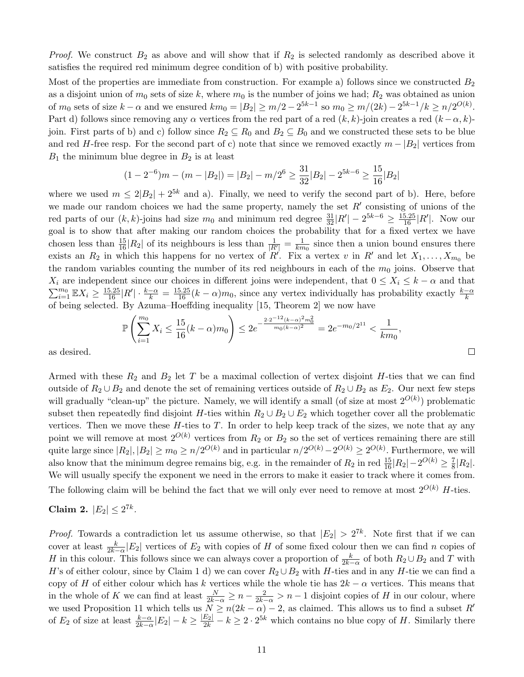*Proof.* We construct  $B_2$  as above and will show that if  $R_2$  is selected randomly as described above it satisfies the required red minimum degree condition of [b\)](#page-9-1) with positive probability.

Most of the properties are immediate from construction. For example [a\)](#page-9-2) follows since we constructed  $B_2$ as a disjoint union of  $m_0$  sets of size k, where  $m_0$  is the number of joins we had;  $R_2$  was obtained as union of  $m_0$  sets of size  $k - \alpha$  and we ensured  $km_0 = |B_2| \ge m/2 - 2^{5k-1}$  so  $m_0 \ge m/(2k) - 2^{5k-1}/k \ge n/2^{O(k)}$ . Part [d\)](#page-9-3) follows since removing any  $\alpha$  vertices from the red part of a red  $(k, k)$ -join creates a red  $(k - \alpha, k)$ join. First parts of [b\)](#page-9-1) and [c\)](#page-9-4) follow since  $R_2 \subseteq R_0$  and  $B_2 \subseteq B_0$  and we constructed these sets to be blue and red H-free resp. For the second part of [c\)](#page-9-4) note that since we removed exactly  $m - |B_2|$  vertices from  $B_1$  the minimum blue degree in  $B_2$  is at least

$$
(1 - 2^{-6})m - (m - |B_2|) = |B_2| - m/2^6 \ge \frac{31}{32}|B_2| - 2^{5k - 6} \ge \frac{15}{16}|B_2|
$$

where we used  $m \leq 2|B_2| + 2^{5k}$  and [a\).](#page-9-2) Finally, we need to verify the second part of [b\).](#page-9-1) Here, before we made our random choices we had the same property, namely the set  $R'$  consisting of unions of the red parts of our  $(k, k)$ -joins had size  $m_0$  and minimum red degree  $\frac{31}{32}|R'| - 2^{5k-6} \ge \frac{15.25}{16}|R'|$ . Now our goal is to show that after making our random choices the probability that for a fixed vertex we have chosen less than  $\frac{15}{16}|R_2|$  of its neighbours is less than  $\frac{1}{|R'|} = \frac{1}{km}$  $\frac{1}{km_0}$  since then a union bound ensures there exists an  $R_2$  in which this happens for no vertex of  $R'$ . Fix a vertex v in  $R'$  and let  $X_1, \ldots, X_{m_0}$  be the random variables counting the number of its red neighbours in each of the  $m_0$  joins. Observe that  $X_i$  are independent since our choices in different joins were independent, that  $0 \le X_i \le k - \alpha$  and that  $\sum_{i=1}^{m_0} \mathbb{E} X_i \ge \frac{15.25}{16} |R'| \cdot \frac{k-\alpha}{k} = \frac{15.25}{16} (k-\alpha)m_0$ , since any vertex individually has probability exactly  $\frac{k-\alpha}{k}$ of being selected. By Azuma–Hoeffding inequality [\[15,](#page-17-11) Theorem 2] we now have

$$
\mathbb{P}\left(\sum_{i=1}^{m_0} X_i \le \frac{15}{16}(k-\alpha)m_0\right) \le 2e^{-\frac{2\cdot 2^{-12}(k-\alpha)^2 m_0^2}{m_0(k-\alpha)^2}} = 2e^{-m_0/2^{11}} < \frac{1}{km_0},
$$

as desired.

Armed with these  $R_2$  and  $B_2$  let T be a maximal collection of vertex disjoint H-ties that we can find outside of  $R_2 \cup B_2$  and denote the set of remaining vertices outside of  $R_2 \cup B_2$  as  $E_2$ . Our next few steps will gradually "clean-up" the picture. Namely, we will identify a small (of size at most  $2^{O(k)}$ ) problematic subset then repeatedly find disjoint H-ties within  $R_2 \cup B_2 \cup E_2$  which together cover all the problematic vertices. Then we move these  $H$ -ties to  $T$ . In order to help keep track of the sizes, we note that ay any point we will remove at most  $2^{O(k)}$  vertices from  $R_2$  or  $B_2$  so the set of vertices remaining there are still quite large since  $|R_2|, |B_2| \ge m_0 \ge n/2^{O(k)}$  and in particular  $n/2^{O(k)} - 2^{O(k)} \ge 2^{O(k)}$ . Furthermore, we will also know that the minimum degree remains big, e.g. in the remainder of  $R_2$  in red  $\frac{15}{16}|R_2|-2^{O(k)}\geq \frac{7}{8}$  $\frac{7}{8} |R_2|$ . We will usually specify the exponent we need in the errors to make it easier to track where it comes from. The following claim will be behind the fact that we will only ever need to remove at most  $2^{O(k)}$  H-ties.

### <span id="page-10-0"></span>Claim 2.  $|E_2| \le 2^{7k}$ .

*Proof.* Towards a contradiction let us assume otherwise, so that  $|E_2| > 2^{7k}$ . Note first that if we can cover at least  $\frac{k}{2k-\alpha}|E_2|$  vertices of  $E_2$  with copies of H of some fixed colour then we can find n copies of H in this colour. This follows since we can always cover a proportion of  $\frac{k}{2k-\alpha}$  of both  $R_2 \cup B_2$  and T with H's of either colour, since by Claim [1](#page-9-5) [d\)](#page-9-3) we can cover  $R_2 \cup B_2$  with H-ties and in any H-tie we can find a copy of H of either colour which has k vertices while the whole tie has  $2k - \alpha$  vertices. This means that in the whole of K we can find at least  $\frac{N}{2k-\alpha} \geq n-\frac{2}{2k-\alpha} > n-1$  disjoint copies of H in our colour, where we used Proposition [11](#page-7-1) which tells us  $N \ge n(2k - \alpha) - 2$ , as claimed. This allows us to find a subset R' of  $E_2$  of size at least  $\frac{k-\alpha}{2k-\alpha}|E_2|-k \geq \frac{|E_2|}{2k}-k \geq 2 \cdot 2^{5k}$  which contains no blue copy of H. Similarly there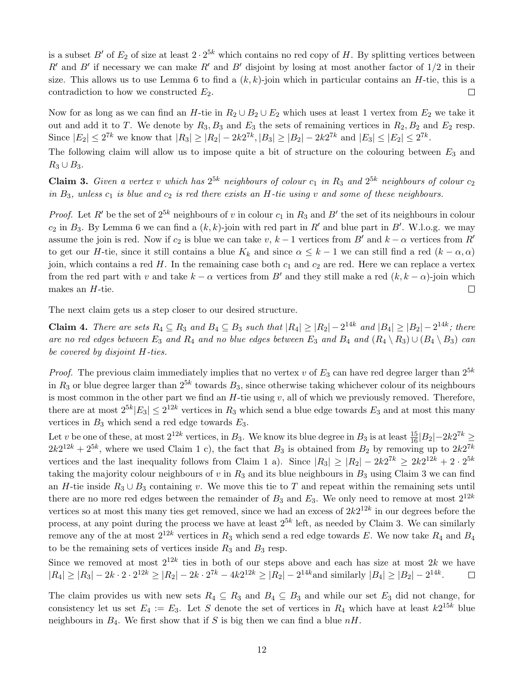is a subset B' of  $E_2$  of size at least  $2 \cdot 2^{5k}$  which contains no red copy of H. By splitting vertices between R' and B' if necessary we can make R' and B' disjoint by losing at most another factor of  $1/2$  in their size. This allows us to use Lemma [6](#page-2-2) to find a  $(k, k)$ -join which in particular contains an H-tie, this is a contradiction to how we constructed  $E_2$ .  $\Box$ 

Now for as long as we can find an H-tie in  $R_2 \cup B_2 \cup E_2$  which uses at least 1 vertex from  $E_2$  we take it out and add it to T. We denote by  $R_3, B_3$  and  $E_3$  the sets of remaining vertices in  $R_2, B_2$  and  $E_2$  resp. Since  $|E_2| \le 2^{7k}$  we know that  $|R_3| \ge |R_2| - 2k2^{7k}, |B_3| \ge |B_2| - 2k2^{7k}$  and  $|E_3| \le |E_2| \le 2^{7k}$ .

The following claim will allow us to impose quite a bit of structure on the colouring between  $E_3$  and  $R_3 \cup B_3$ .

<span id="page-11-0"></span>**Claim 3.** Given a vertex v which has  $2^{5k}$  neighbours of colour  $c_1$  in  $R_3$  and  $2^{5k}$  neighbours of colour  $c_2$ in  $B_3$ , unless  $c_1$  is blue and  $c_2$  is red there exists an H-tie using v and some of these neighbours.

*Proof.* Let R' be the set of  $2^{5k}$  neighbours of v in colour  $c_1$  in R<sub>3</sub> and B' the set of its neighbours in colour  $c_2$  in  $B_3$ . By Lemma [6](#page-2-2) we can find a  $(k, k)$ -join with red part in R' and blue part in B'. W.l.o.g. we may assume the join is red. Now if  $c_2$  is blue we can take v,  $k-1$  vertices from B' and  $k-\alpha$  vertices from R' to get our H-tie, since it still contains a blue  $K_k$  and since  $\alpha \leq k-1$  we can still find a red  $(k-\alpha,\alpha)$ join, which contains a red  $H$ . In the remaining case both  $c_1$  and  $c_2$  are red. Here we can replace a vertex from the red part with v and take  $k - \alpha$  vertices from B' and they still make a red  $(k, k - \alpha)$ -join which makes an  $H$ -tie.  $\Box$ 

The next claim gets us a step closer to our desired structure.

**Claim 4.** There are sets  $R_4 \subseteq R_3$  and  $B_4 \subseteq B_3$  such that  $|R_4| \geq |R_2| - 2^{14k}$  and  $|B_4| \geq |B_2| - 2^{14k}$ ; there are no red edges between  $E_3$  and  $R_4$  and no blue edges between  $E_3$  and  $B_4$  and  $(R_4 \setminus R_3) \cup (B_4 \setminus B_3)$  can be covered by disjoint H-ties.

*Proof.* The previous claim immediately implies that no vertex v of  $E_3$  can have red degree larger than  $2^{5k}$ in  $R_3$  or blue degree larger than  $2^{5k}$  towards  $B_3$ , since otherwise taking whichever colour of its neighbours is most common in the other part we find an  $H$ -tie using  $v$ , all of which we previously removed. Therefore, there are at most  $2^{5k}|E_3| \leq 2^{12k}$  vertices in  $R_3$  which send a blue edge towards  $E_3$  and at most this many vertices in  $B_3$  which send a red edge towards  $E_3$ .

Let v be one of these, at most  $2^{12k}$  vertices, in  $B_3$ . We know its blue degree in  $B_3$  is at least  $\frac{15}{16}|B_2|-2k2^{7k} \ge$  $2k2^{12k} + 2^{5k}$ , where we used Claim [1](#page-9-5) [c\),](#page-9-4) the fact that  $B_3$  is obtained from  $B_2$  by removing up to  $2k2^{7k}$ vertices and the last inequality follows from Claim [1](#page-9-5) [a\).](#page-9-2) Since  $|R_3| \geq |R_2| - 2k2^{7k} \geq 2k2^{12k} + 2 \cdot 2^{5k}$ taking the majority colour neighbours of  $v$  in  $R_3$  and its blue neighbours in  $B_3$  using Claim [3](#page-11-0) we can find an H-tie inside  $R_3 \cup B_3$  containing v. We move this tie to T and repeat within the remaining sets until there are no more red edges between the remainder of  $B_3$  and  $E_3$ . We only need to remove at most  $2^{12k}$ vertices so at most this many ties get removed, since we had an excess of  $2k2^{12k}$  in our degrees before the process, at any point during the process we have at least  $2^{5k}$  left, as needed by Claim [3.](#page-11-0) We can similarly remove any of the at most  $2^{12k}$  vertices in  $R_3$  which send a red edge towards E. We now take  $R_4$  and  $B_4$ to be the remaining sets of vertices inside  $R_3$  and  $B_3$  resp.

Since we removed at most  $2^{12k}$  ties in both of our steps above and each has size at most  $2k$  we have  $|R_4| \geq |R_3| - 2k \cdot 2 \cdot 2^{12k} \geq |R_2| - 2k \cdot 2^{7k} - 4k2^{12k} \geq |R_2| - 2^{14k}$  and similarly  $|B_4| \geq |B_2| - 2^{14k}$ .  $\Box$ 

The claim provides us with new sets  $R_4 \subseteq R_3$  and  $B_4 \subseteq B_3$  and while our set  $E_3$  did not change, for consistency let us set  $E_4 := E_3$ . Let S denote the set of vertices in  $R_4$  which have at least  $k2^{15k}$  blue neighbours in  $B_4$ . We first show that if S is big then we can find a blue  $nH$ .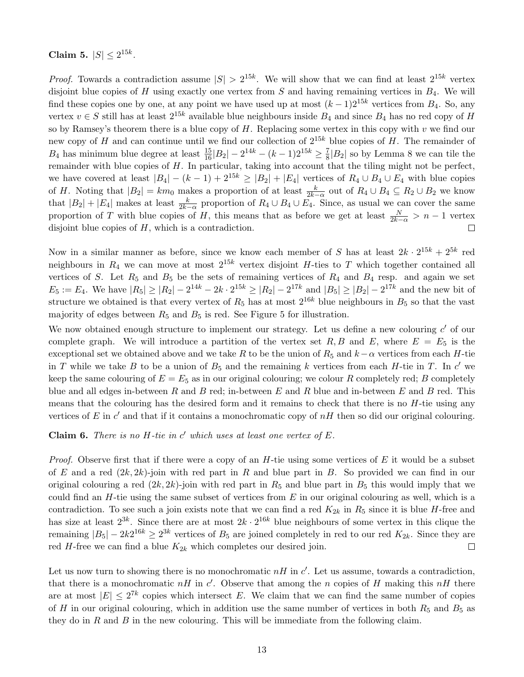Claim 5.  $|S| \le 2^{15k}$ .

*Proof.* Towards a contradiction assume  $|S| > 2^{15k}$ . We will show that we can find at least  $2^{15k}$  vertex disjoint blue copies of H using exactly one vertex from S and having remaining vertices in  $B_4$ . We will find these copies one by one, at any point we have used up at most  $(k-1)2^{15k}$  vertices from  $B_4$ . So, any vertex  $v \in S$  still has at least  $2^{15k}$  available blue neighbours inside  $B_4$  and since  $B_4$  has no red copy of H so by Ramsey's theorem there is a blue copy of  $H$ . Replacing some vertex in this copy with  $v$  we find our new copy of H and can continue until we find our collection of  $2^{15k}$  blue copies of H. The remainder of  $B_4$  has minimum blue degree at least  $\frac{15}{16}|B_2| - 2^{14k} - (k-1)2^{15k} \ge \frac{7}{8}$  $\frac{7}{8}$ | $B_2$ | so by Lemma [8](#page-4-2) we can tile the remainder with blue copies of  $H$ . In particular, taking into account that the tiling might not be perfect, we have covered at least  $|B_4| - (k-1) + 2^{15k} \geq |B_2| + |E_4|$  vertices of  $R_4 \cup B_4 \cup E_4$  with blue copies of H. Noting that  $|B_2| = km_0$  makes a proportion of at least  $\frac{k}{2k-\alpha}$  out of  $R_4 \cup B_4 \subseteq R_2 \cup B_2$  we know that  $|B_2| + |E_4|$  makes at least  $\frac{k}{2k-\alpha}$  proportion of  $R_4 \cup B_4 \cup E_4$ . Since, as usual we can cover the same proportion of T with blue copies of H, this means that as before we get at least  $\frac{N}{2k-\alpha} > n-1$  vertex disjoint blue copies of  $H$ , which is a contradiction.  $\Box$ 

Now in a similar manner as before, since we know each member of S has at least  $2k \cdot 2^{15k} + 2^{5k}$  red neighbours in  $R_4$  we can move at most  $2^{15k}$  vertex disjoint H-ties to T which together contained all vertices of S. Let  $R_5$  and  $B_5$  be the sets of remaining vertices of  $R_4$  and  $B_4$  resp. and again we set  $E_5 := E_4$ . We have  $|R_5| \geq |R_2| - 2^{14k} - 2k \cdot 2^{15k} \geq |R_2| - 2^{17k}$  and  $|B_5| \geq |B_2| - 2^{17k}$  and the new bit of structure we obtained is that every vertex of  $R_5$  has at most  $2^{16k}$  blue neighbours in  $B_5$  so that the vast majority of edges between  $R_5$  and  $B_5$  is red. See Figure [5](#page-9-0) for illustration.

We now obtained enough structure to implement our strategy. Let us define a new colouring  $c'$  of our complete graph. We will introduce a partition of the vertex set R, B and E, where  $E = E_5$  is the exceptional set we obtained above and we take R to be the union of R<sub>5</sub> and  $k-\alpha$  vertices from each H-tie in T while we take B to be a union of  $B_5$  and the remaining k vertices from each H-tie in T. In c' we keep the same colouring of  $E = E_5$  as in our original colouring; we colour R completely red; B completely blue and all edges in-between R and B red; in-between E and R blue and in-between E and B red. This means that the colouring has the desired form and it remains to check that there is no  $H$ -tie using any vertices of  $E$  in  $c'$  and that if it contains a monochromatic copy of  $nH$  then so did our original colouring.

Claim 6. There is no  $H$ -tie in  $c'$  which uses at least one vertex of  $E$ .

*Proof.* Observe first that if there were a copy of an  $H$ -tie using some vertices of  $E$  it would be a subset of E and a red  $(2k, 2k)$ -join with red part in R and blue part in B. So provided we can find in our original colouring a red  $(2k, 2k)$ -join with red part in  $R_5$  and blue part in  $B_5$  this would imply that we could find an  $H$ -tie using the same subset of vertices from  $E$  in our original colouring as well, which is a contradiction. To see such a join exists note that we can find a red  $K_{2k}$  in  $R_5$  since it is blue H-free and has size at least  $2^{3k}$ . Since there are at most  $2k \cdot 2^{16k}$  blue neighbours of some vertex in this clique the remaining  $|B_5| - 2k2^{16k} \geq 2^{3k}$  vertices of  $B_5$  are joined completely in red to our red  $K_{2k}$ . Since they are red H-free we can find a blue  $K_{2k}$  which completes our desired join.  $\Box$ 

Let us now turn to showing there is no monochromatic  $nH$  in  $c'$ . Let us assume, towards a contradiction, that there is a monochromatic  $nH$  in c'. Observe that among the n copies of H making this  $nH$  there are at most  $|E| \leq 2^{7k}$  copies which intersect E. We claim that we can find the same number of copies of H in our original colouring, which in addition use the same number of vertices in both  $R_5$  and  $B_5$  as they do in  $R$  and  $B$  in the new colouring. This will be immediate from the following claim.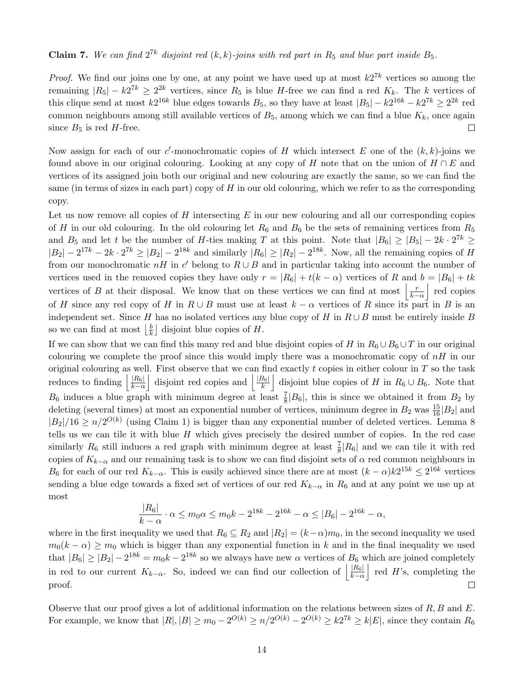### **Claim 7.** We can find  $2^{7k}$  disjoint red  $(k, k)$ -joins with red part in  $R_5$  and blue part inside  $B_5$ .

*Proof.* We find our joins one by one, at any point we have used up at most  $k2^{7k}$  vertices so among the remaining  $|R_5| - k2^{7k} \geq 2^{2k}$  vertices, since  $R_5$  is blue H-free we can find a red  $K_k$ . The k vertices of this clique send at most  $k2^{16k}$  blue edges towards  $B_5$ , so they have at least  $|B_5| - k2^{16k} - k2^{7k} \geq 2^{2k}$  red common neighbours among still available vertices of  $B_5$ , among which we can find a blue  $K_k$ , once again since  $B_5$  is red H-free.  $\Box$ 

Now assign for each of our c'-monochromatic copies of H which intersect E one of the  $(k, k)$ -joins we found above in our original colouring. Looking at any copy of H note that on the union of  $H \cap E$  and vertices of its assigned join both our original and new colouring are exactly the same, so we can find the same (in terms of sizes in each part) copy of  $H$  in our old colouring, which we refer to as the corresponding copy.

Let us now remove all copies of  $H$  intersecting  $E$  in our new colouring and all our corresponding copies of H in our old colouring. In the old colouring let  $R_6$  and  $B_6$  be the sets of remaining vertices from  $R_5$ and  $B_5$  and let t be the number of H-ties making T at this point. Note that  $|B_6| \geq |B_5| - 2k \cdot 2^{7k} \geq$  $|B_2| - 2^{17k} - 2k \cdot 2^{7k} \ge |B_2| - 2^{18k}$  and similarly  $|R_6| \ge |R_2| - 2^{18k}$ . Now, all the remaining copies of H from our monochromatic  $nH$  in c' belong to  $R \cup B$  and in particular taking into account the number of vertices used in the removed copies they have only  $r = |R_6| + t(k - \alpha)$  vertices of R and  $b = |B_6| + tk$ vertices of B at their disposal. We know that on these vertices we can find at most  $\left|\frac{r}{k-a}\right|$  red copies of H since any red copy of H in  $R \cup B$  must use at least  $k - \alpha$  vertices of R since its part in B is an independent set. Since H has no isolated vertices any blue copy of H in  $R \cup B$  must be entirely inside B so we can find at most  $\frac{b}{k}$  $\frac{b}{k}$  disjoint blue copies of H.

If we can show that we can find this many red and blue disjoint copies of H in  $R_6 \cup B_6 \cup T$  in our original colouring we complete the proof since this would imply there was a monochromatic copy of  $nH$  in our original colouring as well. First observe that we can find exactly t copies in either colour in  $T$  so the task reduces to finding  $\left| \frac{|R_6|}{k_2} \right|$  $\frac{|R_6|}{k-\alpha}$  disjoint red copies and  $\frac{|B_6|}{k}$  $\frac{B_6|}{k}$  disjoint blue copies of H in  $R_6 \cup B_6$ . Note that  $B_6$  induces a blue graph with minimum degree at least  $\frac{7}{8}$  $|B_6|$ , this is since we obtained it from  $B_2$  by deleting (several times) at most an exponential number of vertices, minimum degree in  $B_2$  was  $\frac{15}{16}|B_2|$  and  $|B_2|/16 \ge n/2^{O(k)}$  (using Claim [1\)](#page-9-5) is bigger than any exponential number of deleted vertices. Lemma [8](#page-4-2) tells us we can tile it with blue  $H$  which gives precisely the desired number of copies. In the red case similarly  $R_6$  still induces a red graph with minimum degree at least  $\frac{7}{8}|R_6|$  and we can tile it with red copies of  $K_{k-\alpha}$  and our remaining task is to show we can find disjoint sets of  $\alpha$  red common neighbours in  $B_6$  for each of our red  $K_{k-\alpha}$ . This is easily achieved since there are at most  $(k-\alpha)k2^{15k} \leq 2^{16k}$  vertices sending a blue edge towards a fixed set of vertices of our red  $K_{k-\alpha}$  in  $R_6$  and at any point we use up at most

$$
\frac{|R_6|}{k-\alpha} \cdot \alpha \le m_0 \alpha \le m_0 k - 2^{18k} - 2^{16k} - \alpha \le |B_6| - 2^{16k} - \alpha,
$$

where in the first inequality we used that  $R_6 \subseteq R_2$  and  $|R_2| = (k-\alpha)m_0$ , in the second inequality we used  $m_0(k - \alpha) \geq m_0$  which is bigger than any exponential function in k and in the final inequality we used that  $|B_6| \geq |B_2| - 2^{18k} = m_0 k - 2^{18k}$  so we always have new  $\alpha$  vertices of  $B_6$  which are joined completely in red to our current  $K_{k-\alpha}$ . So, indeed we can find our collection of  $\left|\frac{|R_6|}{k-\alpha}\right|$  $\frac{|R_6|}{k-\alpha}$  red H's, completing the proof.  $\Box$ 

Observe that our proof gives a lot of additional information on the relations between sizes of  $R, B$  and  $E$ . For example, we know that  $|R|, |B| \ge m_0 - 2^{O(k)} \ge n/2^{O(k)} - 2^{O(k)} \ge k2^{7k} \ge k|E|$ , since they contain  $R_6$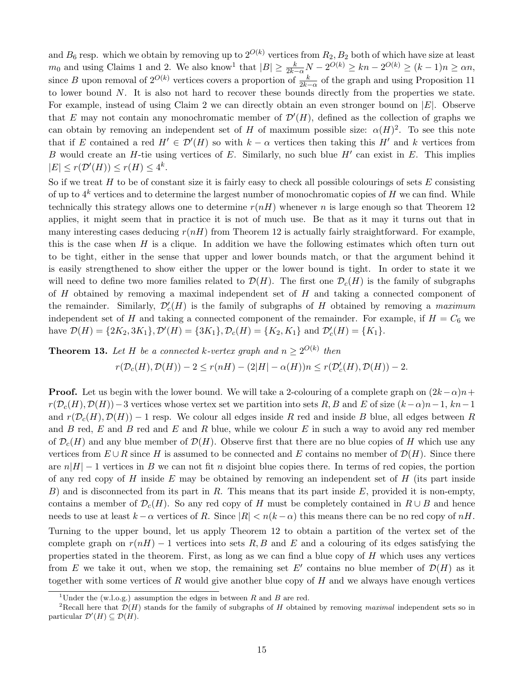and  $B_6$  resp. which we obtain by removing up to  $2^{O(k)}$  vertices from  $R_2, B_2$  both of which have size at least  $m_0$  and using Claims [1](#page-9-5) and [2.](#page-10-0) We also know<sup>[1](#page-14-0)</sup> that  $|B| \ge \frac{k}{2k-\alpha}N - 2^{O(k)} \ge kn - 2^{O(k)} \ge (k-1)n \ge \alpha n$ , since B upon removal of  $2^{O(k)}$  vertices covers a proportion of  $\frac{k}{2k-\alpha}$  of the graph and using Proposition [11](#page-7-1) to lower bound N. It is also not hard to recover these bounds directly from the properties we state. For example, instead of using Claim [2](#page-10-0) we can directly obtain an even stronger bound on  $|E|$ . Observe that E may not contain any monochromatic member of  $\mathcal{D}'(H)$ , defined as the collection of graphs we can obtain by removing an independent set of H of maximum possible size:  $\alpha(H)^2$  $\alpha(H)^2$ . To see this note that if E contained a red  $H' \in \mathcal{D}'(H)$  so with  $k - \alpha$  vertices then taking this H' and k vertices from B would create an H-tie using vertices of  $E$ . Similarly, no such blue  $H'$  can exist in  $E$ . This implies  $|E| \leq r(\mathcal{D}'(H)) \leq r(H) \leq 4^k.$ 

So if we treat  $H$  to be of constant size it is fairly easy to check all possible colourings of sets  $E$  consisting of up to  $4^k$  vertices and to determine the largest number of monochromatic copies of H we can find. While technically this strategy allows one to determine  $r(nH)$  whenever n is large enough so that Theorem [12](#page-8-1) applies, it might seem that in practice it is not of much use. Be that as it may it turns out that in many interesting cases deducing  $r(nH)$  from Theorem [12](#page-8-1) is actually fairly straightforward. For example, this is the case when  $H$  is a clique. In addition we have the following estimates which often turn out to be tight, either in the sense that upper and lower bounds match, or that the argument behind it is easily strengthened to show either the upper or the lower bound is tight. In order to state it we will need to define two more families related to  $\mathcal{D}(H)$ . The first one  $\mathcal{D}_{c}(H)$  is the family of subgraphs of H obtained by removing a maximal independent set of H and taking a connected component of the remainder. Similarly,  $\mathcal{D}'_c(H)$  is the family of subgraphs of H obtained by removing a maximum independent set of H and taking a connected component of the remainder. For example, if  $H = C_6$  we have  $\mathcal{D}(H) = \{2K_2, 3K_1\}, \mathcal{D}'(H) = \{3K_1\}, \mathcal{D}_c(H) = \{K_2, K_1\}$  and  $\mathcal{D}'_c(H) = \{K_1\}.$ 

**Theorem 13.** Let H be a connected k-vertex graph and  $n \geq 2^{O(k)}$  then

$$
r(\mathcal{D}_c(H), \mathcal{D}(H)) - 2 \le r(nH) - (2|H| - \alpha(H))n \le r(\mathcal{D}'_c(H), \mathcal{D}(H)) - 2.
$$

**Proof.** Let us begin with the lower bound. We will take a 2-colouring of a complete graph on  $(2k-\alpha)n+$  $r(\mathcal{D}_c(H), \mathcal{D}(H)) - 3$  vertices whose vertex set we partition into sets R, B and E of size  $(k-\alpha)n-1$ ,  $kn-1$ and  $r(\mathcal{D}_c(H), \mathcal{D}(H)) - 1$  resp. We colour all edges inside R red and inside B blue, all edges between R and  $B$  red,  $E$  and  $B$  red and  $E$  and  $R$  blue, while we colour  $E$  in such a way to avoid any red member of  $\mathcal{D}_c(H)$  and any blue member of  $\mathcal{D}(H)$ . Observe first that there are no blue copies of H which use any vertices from  $E \cup R$  since H is assumed to be connected and E contains no member of  $\mathcal{D}(H)$ . Since there are  $n|H| - 1$  vertices in B we can not fit n disjoint blue copies there. In terms of red copies, the portion of any red copy of  $H$  inside  $E$  may be obtained by removing an independent set of  $H$  (its part inside B) and is disconnected from its part in R. This means that its part inside E, provided it is non-empty, contains a member of  $\mathcal{D}_c(H)$ . So any red copy of H must be completely contained in  $R \cup B$  and hence needs to use at least  $k - \alpha$  vertices of R. Since  $|R| < n(k - \alpha)$  this means there can be no red copy of  $nH$ . Turning to the upper bound, let us apply Theorem [12](#page-8-1) to obtain a partition of the vertex set of the complete graph on  $r(nH) - 1$  vertices into sets R, B and E and a colouring of its edges satisfying the properties stated in the theorem. First, as long as we can find a blue copy of  $H$  which uses any vertices from E we take it out, when we stop, the remaining set E' contains no blue member of  $\mathcal{D}(H)$  as it together with some vertices of  $R$  would give another blue copy of  $H$  and we always have enough vertices

<span id="page-14-1"></span><span id="page-14-0"></span><sup>&</sup>lt;sup>1</sup>Under the (w.l.o.g.) assumption the edges in between R and B are red.

<sup>&</sup>lt;sup>2</sup>Recall here that  $\mathcal{D}(H)$  stands for the family of subgraphs of H obtained by removing maximal independent sets so in particular  $\mathcal{D}'(H) \subseteq \mathcal{D}(H)$ .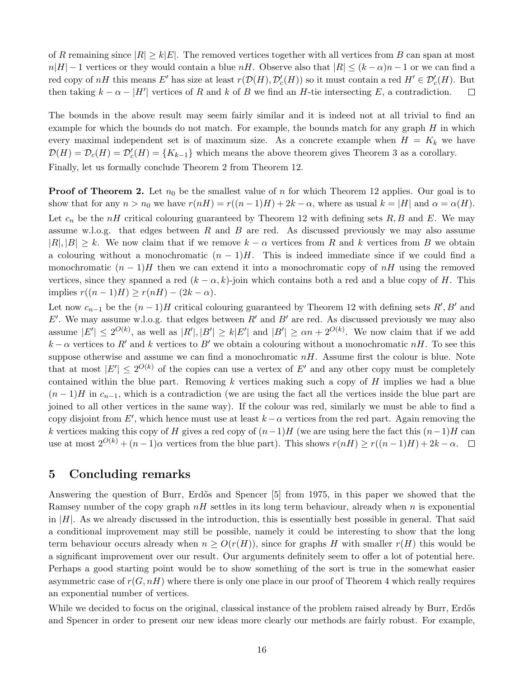of R remaining since  $|R| \ge k|E|$ . The removed vertices together with all vertices from B can span at most  $n|H| - 1$  vertices or they would contain a blue  $nH$ . Observe also that  $|R| \leq (k - \alpha)n - 1$  or we can find a red copy of  $nH$  this means E' has size at least  $r(\mathcal{D}(H), \mathcal{D}'_c(H))$  so it must contain a red  $H' \in \mathcal{D}'_c(H)$ . But then taking  $k - \alpha - |H'|$  vertices of R and k of B we find an H-tie intersecting E, a contradiction.  $\Box$ 

The bounds in the above result may seem fairly similar and it is indeed not at all trivial to find an example for which the bounds do not match. For example, the bounds match for any graph  $H$  in which every maximal independent set is of maximum size. As a concrete example when  $H = K_k$  we have  $\mathcal{D}(H) = \mathcal{D}_c(H) = \mathcal{D}'_c(H) = \{K_{k-1}\}\$  which means the above theorem gives Theorem [3](#page-1-1) as a corollary. Finally, let us formally conclude Theorem [2](#page-1-0) from Theorem [12.](#page-8-1)

**Proof of Theorem [2.](#page-1-0)** Let  $n_0$  be the smallest value of n for which Theorem [12](#page-8-1) applies. Our goal is to show that for any  $n > n_0$  we have  $r(nH) = r((n-1)H) + 2k - \alpha$ , where as usual  $k = |H|$  and  $\alpha = \alpha(H)$ . Let  $c_n$  be the nH critical colouring guaranteed by Theorem [12](#page-8-1) with defining sets R, B and E. We may assume w.l.o.g. that edges between  $R$  and  $B$  are red. As discussed previously we may also assume  $|R|, |B| \geq k$ . We now claim that if we remove  $k - \alpha$  vertices from R and k vertices from B we obtain a colouring without a monochromatic  $(n-1)H$ . This is indeed immediate since if we could find a monochromatic  $(n-1)H$  then we can extend it into a monochromatic copy of nH using the removed vertices, since they spanned a red  $(k - \alpha, k)$ -join which contains both a red and a blue copy of H. This implies  $r((n-1)H) \ge r(nH) - (2k - \alpha)$ .

Let now  $c_{n-1}$  be the  $(n-1)H$  critical colouring guaranteed by Theorem [12](#page-8-1) with defining sets  $R', B'$  and E'. We may assume w.l.o.g. that edges between  $R'$  and  $B'$  are red. As discussed previously we may also assume  $|E'| \leq 2^{O(k)}$ , as well as  $|R'|, |B'| \geq k|E'|$  and  $|B'| \geq \alpha n + 2^{O(k)}$ . We now claim that if we add  $k - \alpha$  vertices to R' and k vertices to B' we obtain a colouring without a monochromatic nH. To see this suppose otherwise and assume we can find a monochromatic  $nH$ . Assume first the colour is blue. Note that at most  $|E'| \leq 2^{O(k)}$  of the copies can use a vertex of E' and any other copy must be completely contained within the blue part. Removing  $k$  vertices making such a copy of  $H$  implies we had a blue  $(n-1)H$  in  $c_{n-1}$ , which is a contradiction (we are using the fact all the vertices inside the blue part are joined to all other vertices in the same way). If the colour was red, similarly we must be able to find a copy disjoint from E', which hence must use at least  $k - \alpha$  vertices from the red part. Again removing the k vertices making this copy of H gives a red copy of  $(n-1)H$  (we are using here the fact this  $(n-1)H$  can use at most  $2^{O(k)} + (n-1)\alpha$  vertices from the blue part). This shows  $r(nH) \ge r((n-1)H) + 2k - \alpha$ .  $\Box$ 

## 5 Concluding remarks

Answering the question of Burr, Erdős and Spencer [\[5\]](#page-16-3) from 1975, in this paper we showed that the Ramsey number of the copy graph  $nH$  settles in its long term behaviour, already when n is exponential in  $|H|$ . As we already discussed in the introduction, this is essentially best possible in general. That said a conditional improvement may still be possible, namely it could be interesting to show that the long term behaviour occurs already when  $n \geq O(r(H))$ , since for graphs H with smaller  $r(H)$  this would be a significant improvement over our result. Our arguments definitely seem to offer a lot of potential here. Perhaps a good starting point would be to show something of the sort is true in the somewhat easier asymmetric case of  $r(G, nH)$  where there is only one place in our proof of Theorem [4](#page-2-0) which really requires an exponential number of vertices.

While we decided to focus on the original, classical instance of the problem raised already by Burr, Erdős and Spencer in order to present our new ideas more clearly our methods are fairly robust. For example,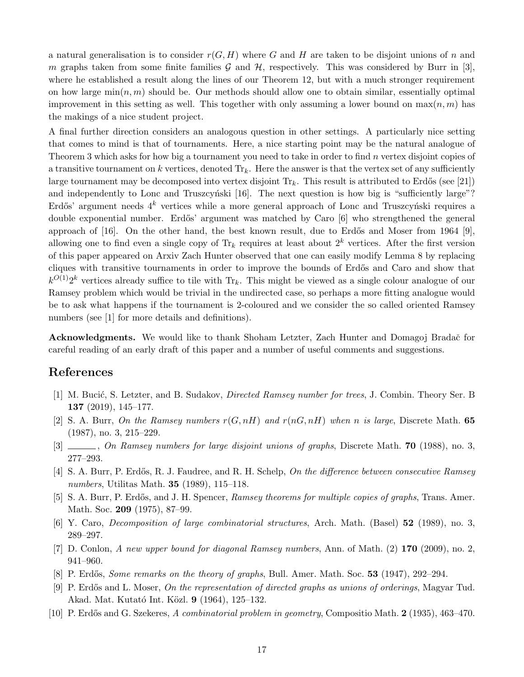a natural generalisation is to consider  $r(G, H)$  where G and H are taken to be disjoint unions of n and m graphs taken from some finite families  $G$  and  $H$ , respectively. This was considered by Burr in [\[3\]](#page-16-6), where he established a result along the lines of our Theorem [12,](#page-8-1) but with a much stronger requirement on how large  $\min(n, m)$  should be. Our methods should allow one to obtain similar, essentially optimal improvement in this setting as well. This together with only assuming a lower bound on  $\max(n, m)$  has the makings of a nice student project.

A final further direction considers an analogous question in other settings. A particularly nice setting that comes to mind is that of tournaments. Here, a nice starting point may be the natural analogue of Theorem [3](#page-1-1) which asks for how big a tournament you need to take in order to find n vertex disjoint copies of a transitive tournament on k vertices, denoted  $\text{Tr}_k$ . Here the answer is that the vertex set of any sufficiently large tournament may be decomposed into vertex disjoint  $Tr_k$ . This result is attributed to Erdős (see [\[21\]](#page-17-12)) and independently to Lonc and Truszcyński [\[16\]](#page-17-13). The next question is how big is "sufficiently large"? Erdős' argument needs  $4^k$  vertices while a more general approach of Lonc and Truszcyński requires a double exponential number. Erdős' argument was matched by Caro [\[6\]](#page-16-7) who strengthened the general approach of [\[16\]](#page-17-13). On the other hand, the best known result, due to Erdős and Moser from 1964 [\[9\]](#page-16-8), allowing one to find even a single copy of  $\text{Tr}_k$  requires at least about  $2^k$  vertices. After the first version of this paper appeared on Arxiv Zach Hunter observed that one can easily modify Lemma [8](#page-4-2) by replacing cliques with transitive tournaments in order to improve the bounds of Erdős and Caro and show that  $k^{O(1)}2^k$  vertices already suffice to tile with  $\text{Tr}_k$ . This might be viewed as a single colour analogue of our Ramsey problem which would be trivial in the undirected case, so perhaps a more fitting analogue would be to ask what happens if the tournament is 2-coloured and we consider the so called oriented Ramsey numbers (see [\[1\]](#page-16-9) for more details and definitions).

Acknowledgments. We would like to thank Shoham Letzter, Zach Hunter and Domagoj Bradač for careful reading of an early draft of this paper and a number of useful comments and suggestions.

### References

- <span id="page-16-9"></span>[1] M. Bucić, S. Letzter, and B. Sudakov, *Directed Ramsey number for trees*, J. Combin. Theory Ser. B 137 (2019), 145–177.
- <span id="page-16-4"></span>[2] S. A. Burr, On the Ramsey numbers  $r(G, nH)$  and  $r(nG, nH)$  when n is large, Discrete Math. 65 (1987), no. 3, 215–229.
- <span id="page-16-6"></span>[3]  $\ldots$ , On Ramsey numbers for large disjoint unions of graphs, Discrete Math. **70** (1988), no. 3, 277–293.
- <span id="page-16-5"></span>[4] S. A. Burr, P. Erdős, R. J. Faudree, and R. H. Schelp, On the difference between consecutive Ramsey numbers, Utilitas Math. 35 (1989), 115–118.
- <span id="page-16-3"></span>[5] S. A. Burr, P. Erdős, and J. H. Spencer, Ramsey theorems for multiple copies of graphs, Trans. Amer. Math. Soc. 209 (1975), 87–99.
- <span id="page-16-7"></span>[6] Y. Caro, Decomposition of large combinatorial structures, Arch. Math. (Basel) 52 (1989), no. 3, 289–297.
- <span id="page-16-0"></span>[7] D. Conlon, A new upper bound for diagonal Ramsey numbers, Ann. of Math. (2) 170 (2009), no. 2, 941–960.
- <span id="page-16-2"></span>[8] P. Erdős, *Some remarks on the theory of graphs*, Bull. Amer. Math. Soc. **53** (1947), 292–294.
- <span id="page-16-8"></span>[9] P. Erdős and L. Moser, On the representation of directed graphs as unions of orderings, Magyar Tud. Akad. Mat. Kutató Int. Közl. 9 (1964), 125–132.
- <span id="page-16-1"></span>[10] P. Erdős and G. Szekeres, A combinatorial problem in geometry, Compositio Math. 2 (1935), 463–470.